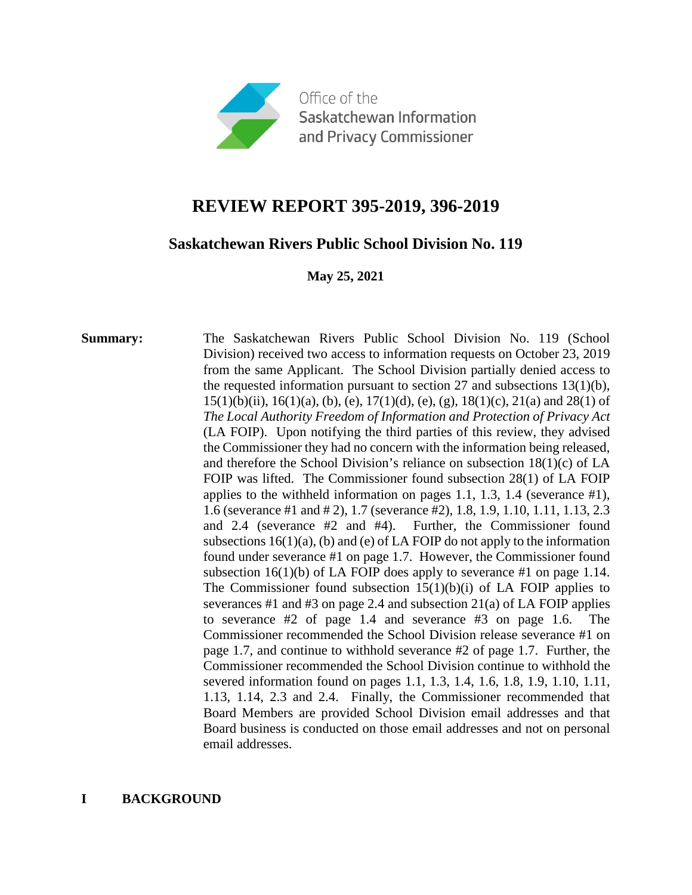

# **REVIEW REPORT 395-2019, 396-2019**

# **Saskatchewan Rivers Public School Division No. 119**

**May 25, 2021**

**Summary:** The Saskatchewan Rivers Public School Division No. 119 (School) Division) received two access to information requests on October 23, 2019 from the same Applicant. The School Division partially denied access to the requested information pursuant to section 27 and subsections 13(1)(b),  $15(1)(b)(ii)$ ,  $16(1)(a)$ , (b), (e),  $17(1)(d)$ , (e), (g),  $18(1)(c)$ ,  $21(a)$  and  $28(1)$  of *The Local Authority Freedom of Information and Protection of Privacy Act*  (LA FOIP). Upon notifying the third parties of this review, they advised the Commissioner they had no concern with the information being released, and therefore the School Division's reliance on subsection 18(1)(c) of LA FOIP was lifted. The Commissioner found subsection 28(1) of LA FOIP applies to the withheld information on pages 1.1, 1.3, 1.4 (severance #1), 1.6 (severance #1 and # 2), 1.7 (severance #2), 1.8, 1.9, 1.10, 1.11, 1.13, 2.3 and 2.4 (severance #2 and #4). Further, the Commissioner found subsections  $16(1)(a)$ , (b) and (e) of LA FOIP do not apply to the information found under severance #1 on page 1.7. However, the Commissioner found subsection  $16(1)(b)$  of LA FOIP does apply to severance #1 on page 1.14. The Commissioner found subsection  $15(1)(b)(i)$  of LA FOIP applies to severances #1 and #3 on page 2.4 and subsection 21(a) of LA FOIP applies to severance #2 of page 1.4 and severance #3 on page 1.6. The Commissioner recommended the School Division release severance #1 on page 1.7, and continue to withhold severance #2 of page 1.7. Further, the Commissioner recommended the School Division continue to withhold the severed information found on pages 1.1, 1.3, 1.4, 1.6, 1.8, 1.9, 1.10, 1.11, 1.13, 1.14, 2.3 and 2.4. Finally, the Commissioner recommended that Board Members are provided School Division email addresses and that Board business is conducted on those email addresses and not on personal email addresses.

# **I BACKGROUND**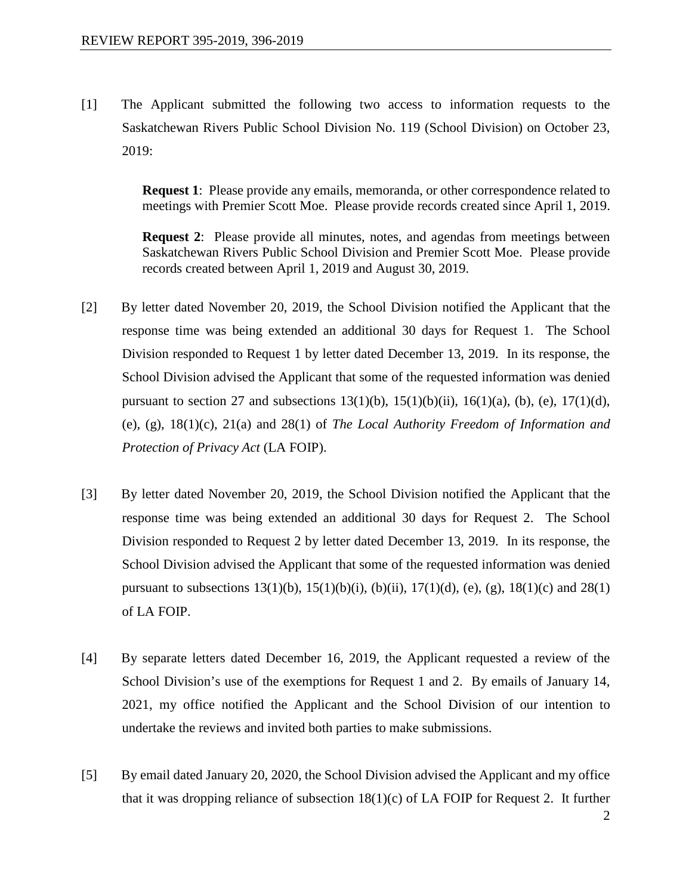[1] The Applicant submitted the following two access to information requests to the Saskatchewan Rivers Public School Division No. 119 (School Division) on October 23, 2019:

> **Request 1**: Please provide any emails, memoranda, or other correspondence related to meetings with Premier Scott Moe. Please provide records created since April 1, 2019.

> **Request 2**: Please provide all minutes, notes, and agendas from meetings between Saskatchewan Rivers Public School Division and Premier Scott Moe. Please provide records created between April 1, 2019 and August 30, 2019.

- [2] By letter dated November 20, 2019, the School Division notified the Applicant that the response time was being extended an additional 30 days for Request 1. The School Division responded to Request 1 by letter dated December 13, 2019. In its response, the School Division advised the Applicant that some of the requested information was denied pursuant to section 27 and subsections  $13(1)(b)$ ,  $15(1)(b)(ii)$ ,  $16(1)(a)$ ,  $(b)$ ,  $(e)$ ,  $17(1)(d)$ , (e), (g), 18(1)(c), 21(a) and 28(1) of *The Local Authority Freedom of Information and Protection of Privacy Act* (LA FOIP).
- [3] By letter dated November 20, 2019, the School Division notified the Applicant that the response time was being extended an additional 30 days for Request 2. The School Division responded to Request 2 by letter dated December 13, 2019. In its response, the School Division advised the Applicant that some of the requested information was denied pursuant to subsections  $13(1)(b)$ ,  $15(1)(b)(i)$ ,  $(b)(ii)$ ,  $17(1)(d)$ ,  $(e)$ ,  $(g)$ ,  $18(1)(c)$  and  $28(1)$ of LA FOIP.
- [4] By separate letters dated December 16, 2019, the Applicant requested a review of the School Division's use of the exemptions for Request 1 and 2. By emails of January 14, 2021, my office notified the Applicant and the School Division of our intention to undertake the reviews and invited both parties to make submissions.
- [5] By email dated January 20, 2020, the School Division advised the Applicant and my office that it was dropping reliance of subsection  $18(1)(c)$  of LA FOIP for Request 2. It further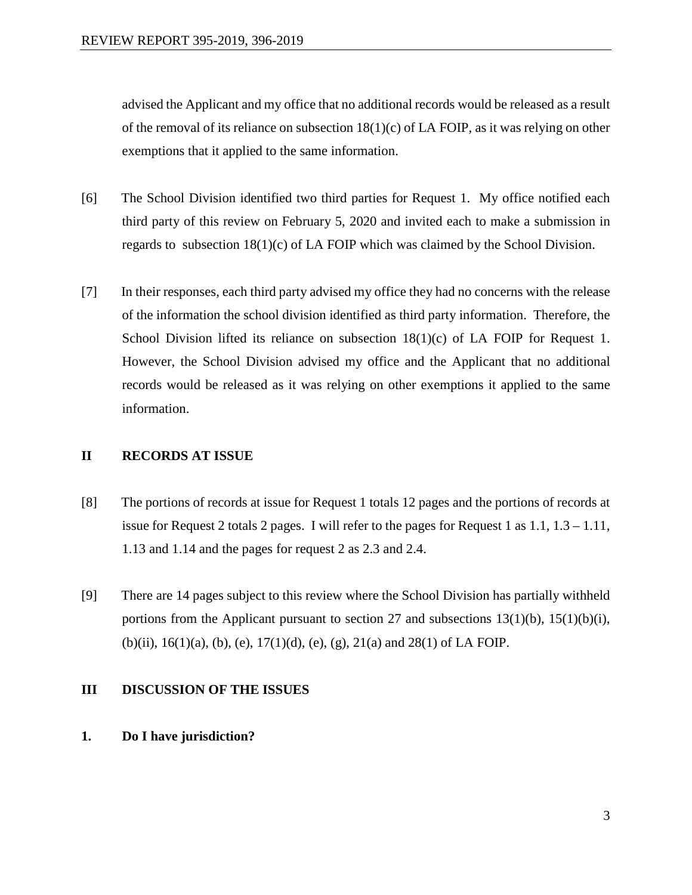advised the Applicant and my office that no additional records would be released as a result of the removal of its reliance on subsection  $18(1)(c)$  of LA FOIP, as it was relying on other exemptions that it applied to the same information.

- [6] The School Division identified two third parties for Request 1. My office notified each third party of this review on February 5, 2020 and invited each to make a submission in regards to subsection 18(1)(c) of LA FOIP which was claimed by the School Division.
- [7] In their responses, each third party advised my office they had no concerns with the release of the information the school division identified as third party information. Therefore, the School Division lifted its reliance on subsection  $18(1)(c)$  of LA FOIP for Request 1. However, the School Division advised my office and the Applicant that no additional records would be released as it was relying on other exemptions it applied to the same information.

# **II RECORDS AT ISSUE**

- [8] The portions of records at issue for Request 1 totals 12 pages and the portions of records at issue for Request 2 totals 2 pages. I will refer to the pages for Request 1 as 1.1, 1.3 – 1.11, 1.13 and 1.14 and the pages for request 2 as 2.3 and 2.4.
- [9] There are 14 pages subject to this review where the School Division has partially withheld portions from the Applicant pursuant to section 27 and subsections  $13(1)(b)$ ,  $15(1)(b)(i)$ , (b)(ii),  $16(1)(a)$ , (b), (e),  $17(1)(d)$ , (e), (g),  $21(a)$  and  $28(1)$  of LA FOIP.

# **III DISCUSSION OF THE ISSUES**

**1. Do I have jurisdiction?**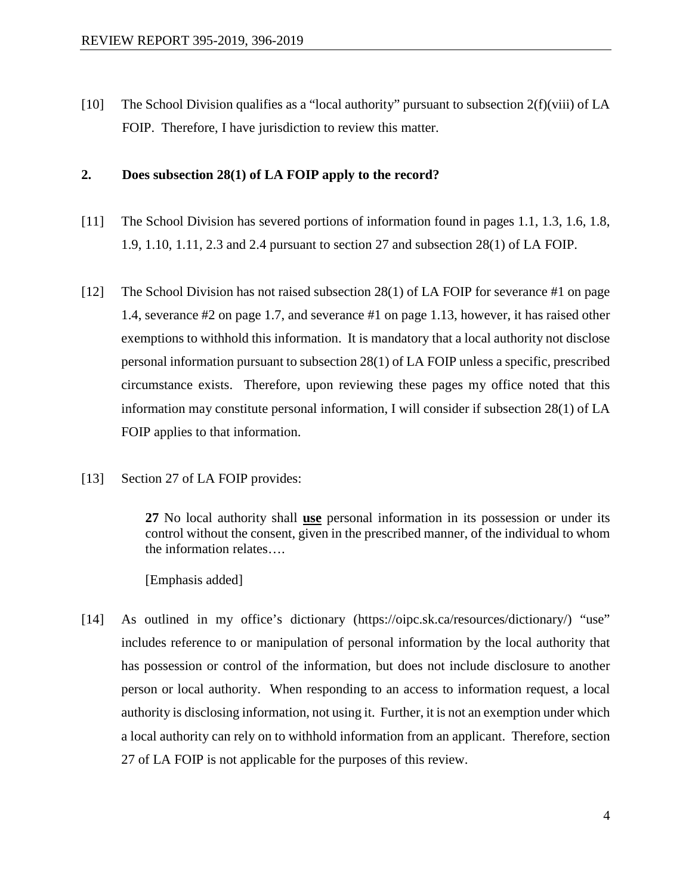[10] The School Division qualifies as a "local authority" pursuant to subsection 2(f)(viii) of LA FOIP. Therefore, I have jurisdiction to review this matter.

## **2. Does subsection 28(1) of LA FOIP apply to the record?**

- [11] The School Division has severed portions of information found in pages 1.1, 1.3, 1.6, 1.8, 1.9, 1.10, 1.11, 2.3 and 2.4 pursuant to section 27 and subsection 28(1) of LA FOIP.
- [12] The School Division has not raised subsection 28(1) of LA FOIP for severance #1 on page 1.4, severance #2 on page 1.7, and severance #1 on page 1.13, however, it has raised other exemptions to withhold this information. It is mandatory that a local authority not disclose personal information pursuant to subsection 28(1) of LA FOIP unless a specific, prescribed circumstance exists. Therefore, upon reviewing these pages my office noted that this information may constitute personal information, I will consider if subsection 28(1) of LA FOIP applies to that information.
- [13] Section 27 of LA FOIP provides:

**27** No local authority shall **use** personal information in its possession or under its control without the consent, given in the prescribed manner, of the individual to whom the information relates….

[Emphasis added]

[14] As outlined in my office's dictionary (https://oipc.sk.ca/resources/dictionary/) "use" includes reference to or manipulation of personal information by the local authority that has possession or control of the information, but does not include disclosure to another person or local authority. When responding to an access to information request, a local authority is disclosing information, not using it. Further, it is not an exemption under which a local authority can rely on to withhold information from an applicant. Therefore, section 27 of LA FOIP is not applicable for the purposes of this review.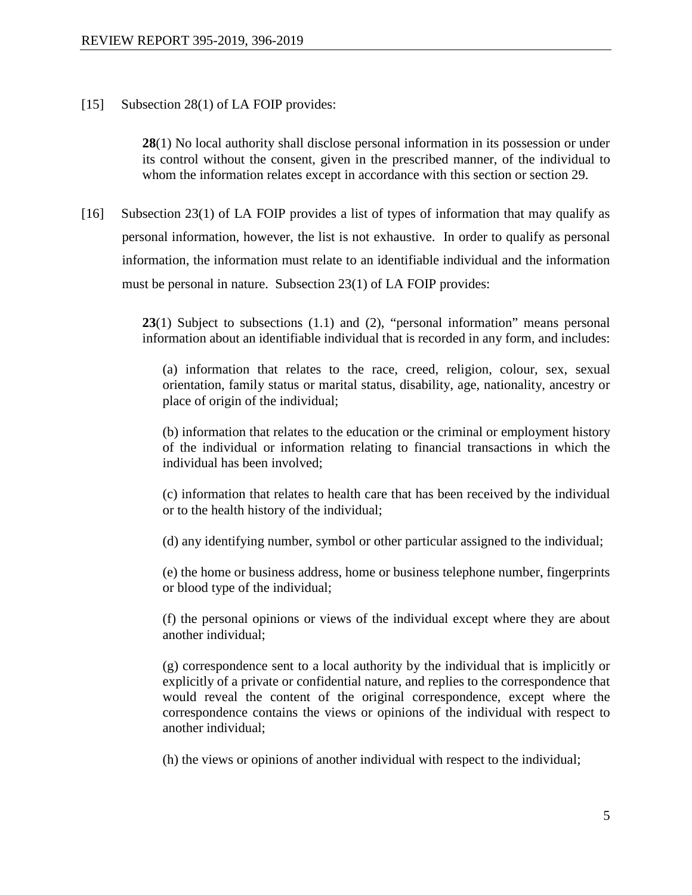### [15] Subsection 28(1) of LA FOIP provides:

**28**(1) No local authority shall disclose personal information in its possession or under its control without the consent, given in the prescribed manner, of the individual to whom the information relates except in accordance with this section or section 29.

[16] Subsection 23(1) of LA FOIP provides a list of types of information that may qualify as personal information, however, the list is not exhaustive. In order to qualify as personal information, the information must relate to an identifiable individual and the information must be personal in nature. Subsection 23(1) of LA FOIP provides:

> **23**(1) Subject to subsections (1.1) and (2), "personal information" means personal information about an identifiable individual that is recorded in any form, and includes:

(a) information that relates to the race, creed, religion, colour, sex, sexual orientation, family status or marital status, disability, age, nationality, ancestry or place of origin of the individual;

(b) information that relates to the education or the criminal or employment history of the individual or information relating to financial transactions in which the individual has been involved;

(c) information that relates to health care that has been received by the individual or to the health history of the individual;

(d) any identifying number, symbol or other particular assigned to the individual;

(e) the home or business address, home or business telephone number, fingerprints or blood type of the individual;

(f) the personal opinions or views of the individual except where they are about another individual;

(g) correspondence sent to a local authority by the individual that is implicitly or explicitly of a private or confidential nature, and replies to the correspondence that would reveal the content of the original correspondence, except where the correspondence contains the views or opinions of the individual with respect to another individual;

(h) the views or opinions of another individual with respect to the individual;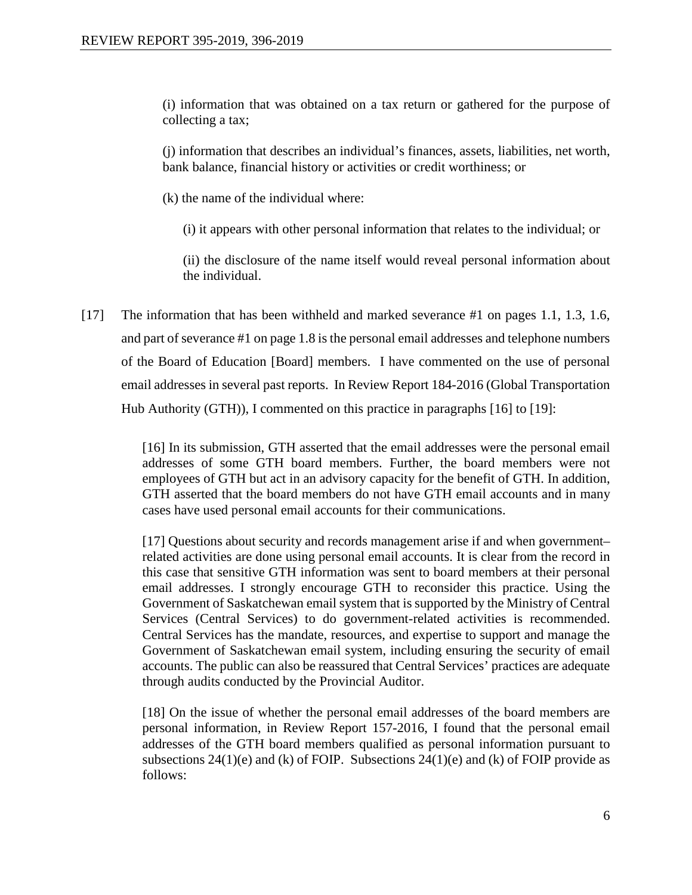(i) information that was obtained on a tax return or gathered for the purpose of collecting a tax;

(j) information that describes an individual's finances, assets, liabilities, net worth, bank balance, financial history or activities or credit worthiness; or

- (k) the name of the individual where:
	- (i) it appears with other personal information that relates to the individual; or

(ii) the disclosure of the name itself would reveal personal information about the individual.

[17] The information that has been withheld and marked severance #1 on pages 1.1, 1.3, 1.6, and part of severance #1 on page 1.8 is the personal email addresses and telephone numbers of the Board of Education [Board] members. I have commented on the use of personal email addresses in several past reports. In Review Report 184-2016 (Global Transportation Hub Authority (GTH)), I commented on this practice in paragraphs [16] to [19]:

> [16] In its submission, GTH asserted that the email addresses were the personal email addresses of some GTH board members. Further, the board members were not employees of GTH but act in an advisory capacity for the benefit of GTH. In addition, GTH asserted that the board members do not have GTH email accounts and in many cases have used personal email accounts for their communications.

> [17] Questions about security and records management arise if and when government– related activities are done using personal email accounts. It is clear from the record in this case that sensitive GTH information was sent to board members at their personal email addresses. I strongly encourage GTH to reconsider this practice. Using the Government of Saskatchewan email system that is supported by the Ministry of Central Services (Central Services) to do government-related activities is recommended. Central Services has the mandate, resources, and expertise to support and manage the Government of Saskatchewan email system, including ensuring the security of email accounts. The public can also be reassured that Central Services' practices are adequate through audits conducted by the Provincial Auditor.

> [18] On the issue of whether the personal email addresses of the board members are personal information, in Review Report 157-2016, I found that the personal email addresses of the GTH board members qualified as personal information pursuant to subsections  $24(1)(e)$  and (k) of FOIP. Subsections  $24(1)(e)$  and (k) of FOIP provide as follows: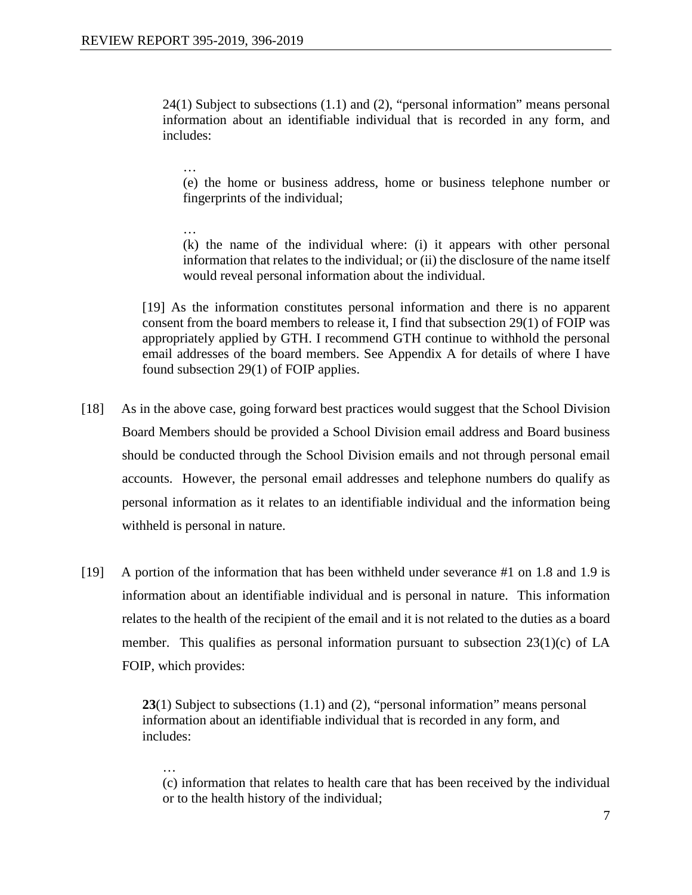24(1) Subject to subsections (1.1) and (2), "personal information" means personal information about an identifiable individual that is recorded in any form, and includes:

… (e) the home or business address, home or business telephone number or fingerprints of the individual;

… (k) the name of the individual where: (i) it appears with other personal information that relates to the individual; or (ii) the disclosure of the name itself would reveal personal information about the individual.

[19] As the information constitutes personal information and there is no apparent consent from the board members to release it, I find that subsection 29(1) of FOIP was appropriately applied by GTH. I recommend GTH continue to withhold the personal email addresses of the board members. See Appendix A for details of where I have found subsection 29(1) of FOIP applies.

- [18] As in the above case, going forward best practices would suggest that the School Division Board Members should be provided a School Division email address and Board business should be conducted through the School Division emails and not through personal email accounts. However, the personal email addresses and telephone numbers do qualify as personal information as it relates to an identifiable individual and the information being withheld is personal in nature.
- [19] A portion of the information that has been withheld under severance #1 on 1.8 and 1.9 is information about an identifiable individual and is personal in nature. This information relates to the health of the recipient of the email and it is not related to the duties as a board member. This qualifies as personal information pursuant to subsection 23(1)(c) of LA FOIP, which provides:

**23**(1) Subject to subsections (1.1) and (2), "personal information" means personal information about an identifiable individual that is recorded in any form, and includes:

… (c) information that relates to health care that has been received by the individual or to the health history of the individual;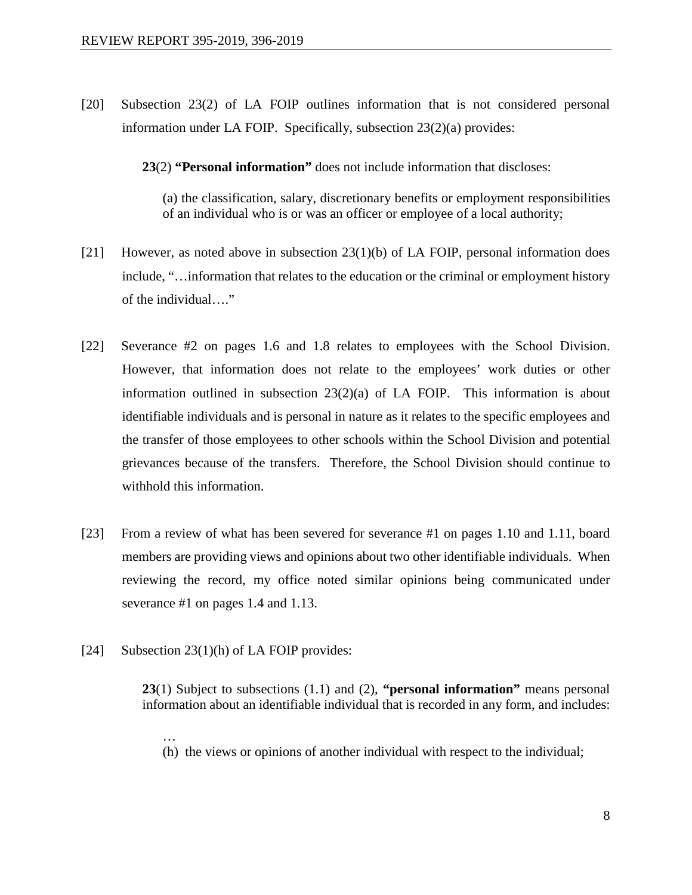[20] Subsection 23(2) of LA FOIP outlines information that is not considered personal information under LA FOIP. Specifically, subsection 23(2)(a) provides:

**23**(2) **"Personal information"** does not include information that discloses:

(a) the classification, salary, discretionary benefits or employment responsibilities of an individual who is or was an officer or employee of a local authority;

- [21] However, as noted above in subsection 23(1)(b) of LA FOIP, personal information does include, "…information that relates to the education or the criminal or employment history of the individual…."
- [22] Severance #2 on pages 1.6 and 1.8 relates to employees with the School Division. However, that information does not relate to the employees' work duties or other information outlined in subsection  $23(2)(a)$  of LA FOIP. This information is about identifiable individuals and is personal in nature as it relates to the specific employees and the transfer of those employees to other schools within the School Division and potential grievances because of the transfers. Therefore, the School Division should continue to withhold this information.
- [23] From a review of what has been severed for severance #1 on pages 1.10 and 1.11, board members are providing views and opinions about two other identifiable individuals. When reviewing the record, my office noted similar opinions being communicated under severance #1 on pages 1.4 and 1.13.
- [24] Subsection 23(1)(h) of LA FOIP provides:

**23**(1) Subject to subsections (1.1) and (2), **"personal information"** means personal information about an identifiable individual that is recorded in any form, and includes:

… (h) the views or opinions of another individual with respect to the individual;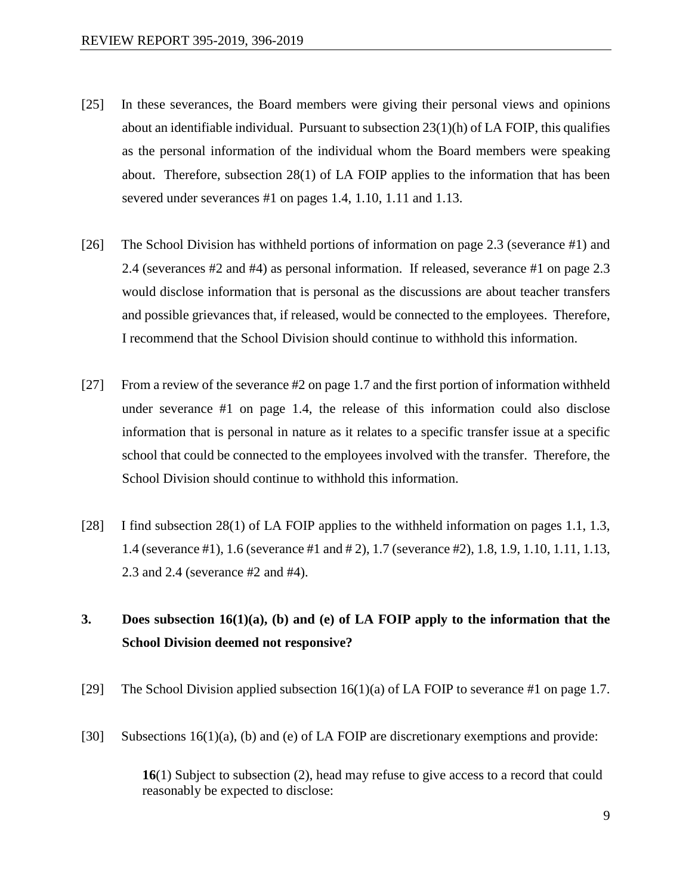- [25] In these severances, the Board members were giving their personal views and opinions about an identifiable individual. Pursuant to subsection  $23(1)(h)$  of LA FOIP, this qualifies as the personal information of the individual whom the Board members were speaking about. Therefore, subsection 28(1) of LA FOIP applies to the information that has been severed under severances #1 on pages 1.4, 1.10, 1.11 and 1.13.
- [26] The School Division has withheld portions of information on page 2.3 (severance #1) and 2.4 (severances #2 and #4) as personal information. If released, severance #1 on page 2.3 would disclose information that is personal as the discussions are about teacher transfers and possible grievances that, if released, would be connected to the employees. Therefore, I recommend that the School Division should continue to withhold this information.
- [27] From a review of the severance #2 on page 1.7 and the first portion of information withheld under severance #1 on page 1.4, the release of this information could also disclose information that is personal in nature as it relates to a specific transfer issue at a specific school that could be connected to the employees involved with the transfer. Therefore, the School Division should continue to withhold this information.
- [28] I find subsection 28(1) of LA FOIP applies to the withheld information on pages 1.1, 1.3, 1.4 (severance #1), 1.6 (severance #1 and # 2), 1.7 (severance #2), 1.8, 1.9, 1.10, 1.11, 1.13, 2.3 and 2.4 (severance #2 and #4).

# **3. Does subsection 16(1)(a), (b) and (e) of LA FOIP apply to the information that the School Division deemed not responsive?**

- [29] The School Division applied subsection  $16(1)(a)$  of LA FOIP to severance #1 on page 1.7.
- [30] Subsections 16(1)(a), (b) and (e) of LA FOIP are discretionary exemptions and provide:

**16**(1) Subject to subsection (2), head may refuse to give access to a record that could reasonably be expected to disclose: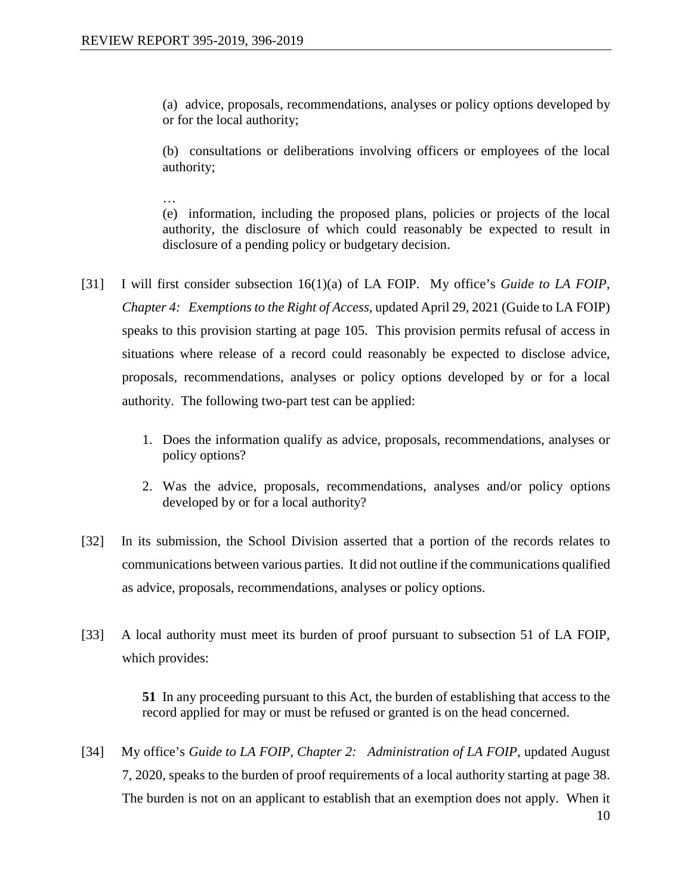(a) advice, proposals, recommendations, analyses or policy options developed by or for the local authority;

(b) consultations or deliberations involving officers or employees of the local authority;

… (e) information, including the proposed plans, policies or projects of the local authority, the disclosure of which could reasonably be expected to result in disclosure of a pending policy or budgetary decision.

- [31] I will first consider subsection 16(1)(a) of LA FOIP. My office's *Guide to LA FOIP, Chapter 4: Exemptions to the Right of Access*, updated April 29, 2021 (Guide to LA FOIP) speaks to this provision starting at page 105. This provision permits refusal of access in situations where release of a record could reasonably be expected to disclose advice, proposals, recommendations, analyses or policy options developed by or for a local authority. The following two-part test can be applied:
	- 1. Does the information qualify as advice, proposals, recommendations, analyses or policy options?
	- 2. Was the advice, proposals, recommendations, analyses and/or policy options developed by or for a local authority?
- [32] In its submission, the School Division asserted that a portion of the records relates to communications between various parties. It did not outline if the communications qualified as advice, proposals, recommendations, analyses or policy options.
- [33] A local authority must meet its burden of proof pursuant to subsection 51 of LA FOIP, which provides:

**51** In any proceeding pursuant to this Act, the burden of establishing that access to the record applied for may or must be refused or granted is on the head concerned.

[34] My office's *Guide to LA FOIP, Chapter 2: Administration of LA FOIP*, updated August 7, 2020, speaks to the burden of proof requirements of a local authority starting at page 38. The burden is not on an applicant to establish that an exemption does not apply. When it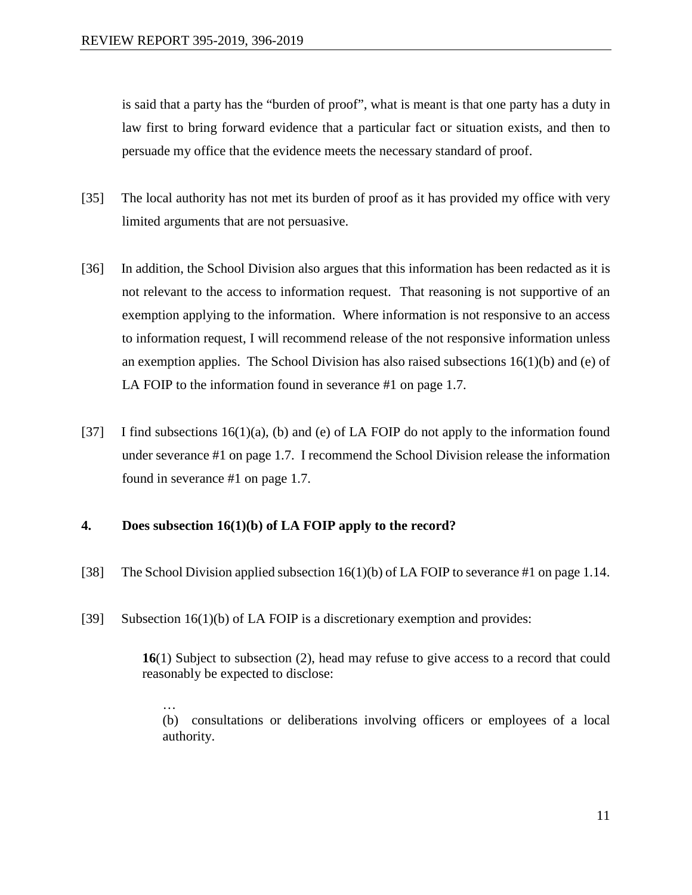is said that a party has the "burden of proof", what is meant is that one party has a duty in law first to bring forward evidence that a particular fact or situation exists, and then to persuade my office that the evidence meets the necessary standard of proof.

- [35] The local authority has not met its burden of proof as it has provided my office with very limited arguments that are not persuasive.
- [36] In addition, the School Division also argues that this information has been redacted as it is not relevant to the access to information request. That reasoning is not supportive of an exemption applying to the information. Where information is not responsive to an access to information request, I will recommend release of the not responsive information unless an exemption applies. The School Division has also raised subsections  $16(1)(b)$  and (e) of LA FOIP to the information found in severance #1 on page 1.7.
- [37] I find subsections 16(1)(a), (b) and (e) of LA FOIP do not apply to the information found under severance #1 on page 1.7. I recommend the School Division release the information found in severance #1 on page 1.7.

# **4. Does subsection 16(1)(b) of LA FOIP apply to the record?**

- [38] The School Division applied subsection 16(1)(b) of LA FOIP to severance #1 on page 1.14.
- [39] Subsection 16(1)(b) of LA FOIP is a discretionary exemption and provides:

**16**(1) Subject to subsection (2), head may refuse to give access to a record that could reasonably be expected to disclose:

… (b) consultations or deliberations involving officers or employees of a local authority.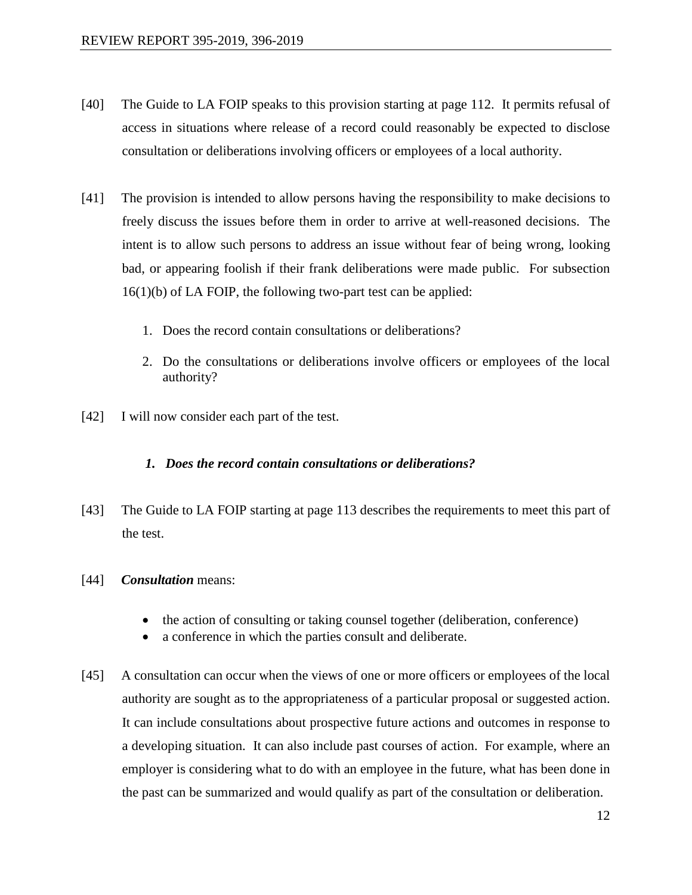- [40] The Guide to LA FOIP speaks to this provision starting at page 112. It permits refusal of access in situations where release of a record could reasonably be expected to disclose consultation or deliberations involving officers or employees of a local authority.
- [41] The provision is intended to allow persons having the responsibility to make decisions to freely discuss the issues before them in order to arrive at well-reasoned decisions. The intent is to allow such persons to address an issue without fear of being wrong, looking bad, or appearing foolish if their frank deliberations were made public. For subsection 16(1)(b) of LA FOIP, the following two-part test can be applied:
	- 1. Does the record contain consultations or deliberations?
	- 2. Do the consultations or deliberations involve officers or employees of the local authority?
- [42] I will now consider each part of the test.

#### *1. Does the record contain consultations or deliberations?*

- [43] The Guide to LA FOIP starting at page 113 describes the requirements to meet this part of the test.
- [44] *Consultation* means:
	- the action of consulting or taking counsel together (deliberation, conference)
	- a conference in which the parties consult and deliberate.
- [45] A consultation can occur when the views of one or more officers or employees of the local authority are sought as to the appropriateness of a particular proposal or suggested action. It can include consultations about prospective future actions and outcomes in response to a developing situation. It can also include past courses of action. For example, where an employer is considering what to do with an employee in the future, what has been done in the past can be summarized and would qualify as part of the consultation or deliberation.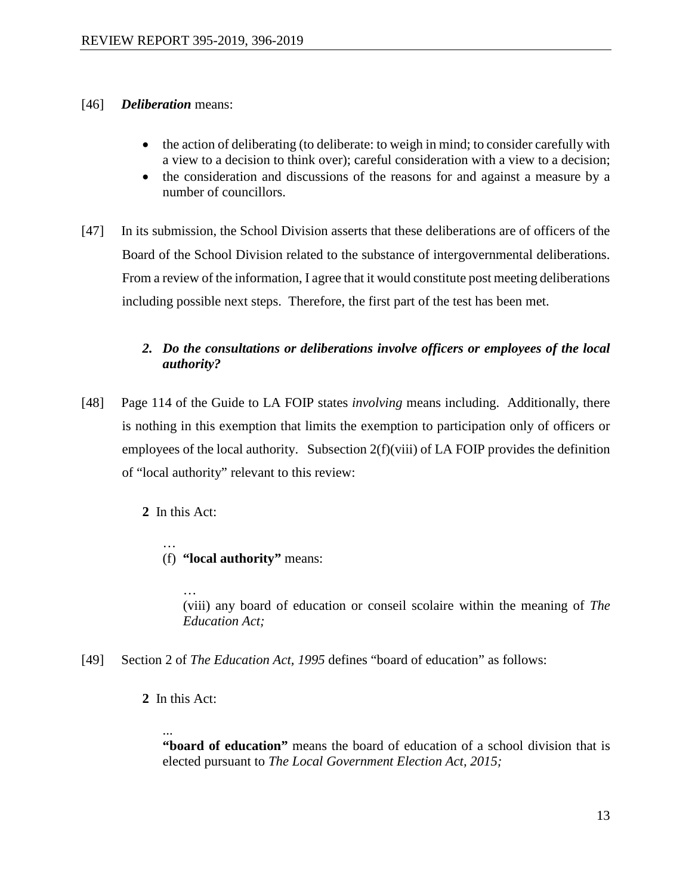- [46] *Deliberation* means:
	- the action of deliberating (to deliberate: to weigh in mind; to consider carefully with a view to a decision to think over); careful consideration with a view to a decision;
	- the consideration and discussions of the reasons for and against a measure by a number of councillors.
- [47] In its submission, the School Division asserts that these deliberations are of officers of the Board of the School Division related to the substance of intergovernmental deliberations. From a review of the information, I agree that it would constitute post meeting deliberations including possible next steps. Therefore, the first part of the test has been met.

# *2. Do the consultations or deliberations involve officers or employees of the local authority?*

[48] Page 114 of the Guide to LA FOIP states *involving* means including. Additionally, there is nothing in this exemption that limits the exemption to participation only of officers or employees of the local authority. Subsection  $2(f)(viii)$  of LA FOIP provides the definition of "local authority" relevant to this review:

**2** In this Act:

… (f) **"local authority"** means:

> … (viii) any board of education or conseil scolaire within the meaning of *The Education Act;*

- [49] Section 2 of *The Education Act, 1995* defines "board of education" as follows:
	- **2** In this Act:

... **"board of education"** means the board of education of a school division that is elected pursuant to *The Local Government Election Act, 2015;*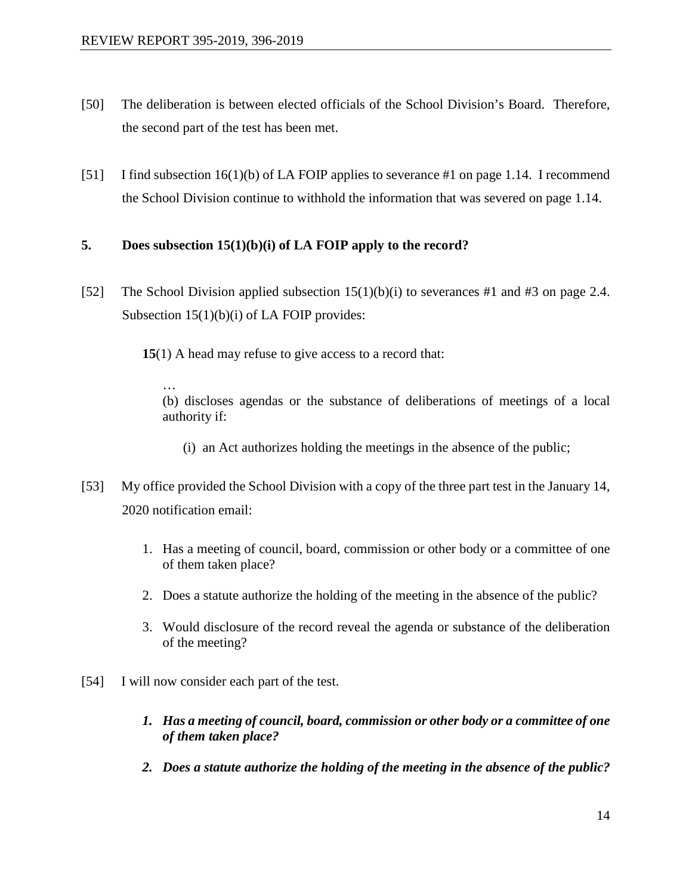- [50] The deliberation is between elected officials of the School Division's Board. Therefore, the second part of the test has been met.
- [51] I find subsection 16(1)(b) of LA FOIP applies to severance #1 on page 1.14. I recommend the School Division continue to withhold the information that was severed on page 1.14.

# **5. Does subsection 15(1)(b)(i) of LA FOIP apply to the record?**

[52] The School Division applied subsection  $15(1)(b)(i)$  to severances #1 and #3 on page 2.4. Subsection 15(1)(b)(i) of LA FOIP provides:

**15**(1) A head may refuse to give access to a record that:

… (b) discloses agendas or the substance of deliberations of meetings of a local authority if:

- (i) an Act authorizes holding the meetings in the absence of the public;
- [53] My office provided the School Division with a copy of the three part test in the January 14, 2020 notification email:
	- 1. Has a meeting of council, board, commission or other body or a committee of one of them taken place?
	- 2. Does a statute authorize the holding of the meeting in the absence of the public?
	- 3. Would disclosure of the record reveal the agenda or substance of the deliberation of the meeting?
- [54] I will now consider each part of the test.
	- *1. Has a meeting of council, board, commission or other body or a committee of one of them taken place?*
	- *2. Does a statute authorize the holding of the meeting in the absence of the public?*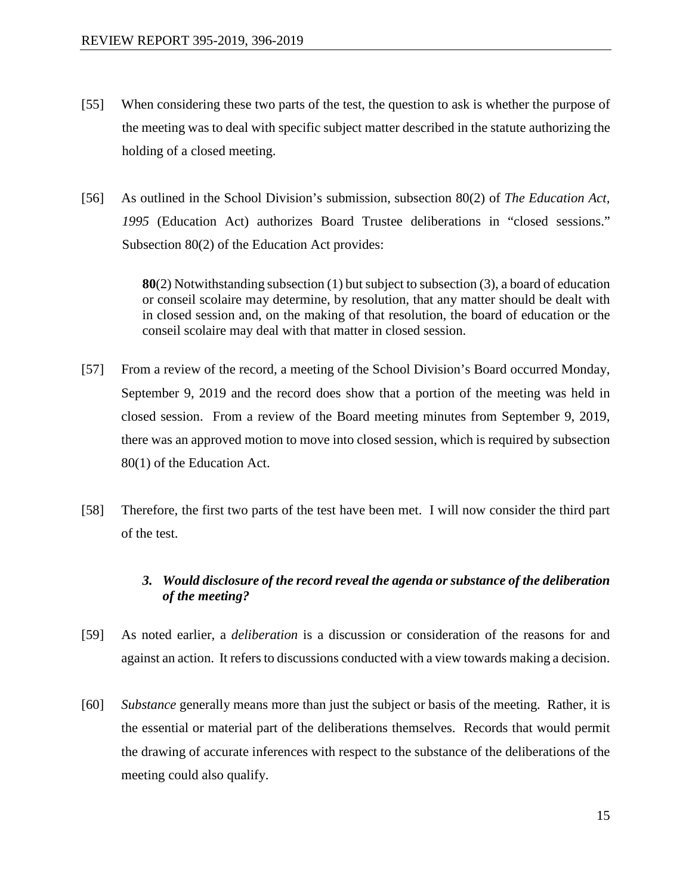- [55] When considering these two parts of the test, the question to ask is whether the purpose of the meeting was to deal with specific subject matter described in the statute authorizing the holding of a closed meeting.
- [56] As outlined in the School Division's submission, subsection 80(2) of *The Education Act, 1995* (Education Act) authorizes Board Trustee deliberations in "closed sessions." Subsection 80(2) of the Education Act provides:

**80**(2) Notwithstanding subsection (1) but subject to subsection (3), a board of education or conseil scolaire may determine, by resolution, that any matter should be dealt with in closed session and, on the making of that resolution, the board of education or the conseil scolaire may deal with that matter in closed session.

- [57] From a review of the record, a meeting of the School Division's Board occurred Monday, September 9, 2019 and the record does show that a portion of the meeting was held in closed session. From a review of the Board meeting minutes from September 9, 2019, there was an approved motion to move into closed session, which is required by subsection 80(1) of the Education Act.
- [58] Therefore, the first two parts of the test have been met. I will now consider the third part of the test.

# *3. Would disclosure of the record reveal the agenda or substance of the deliberation of the meeting?*

- [59] As noted earlier, a *deliberation* is a discussion or consideration of the reasons for and against an action. It refers to discussions conducted with a view towards making a decision.
- [60] *Substance* generally means more than just the subject or basis of the meeting. Rather, it is the essential or material part of the deliberations themselves. Records that would permit the drawing of accurate inferences with respect to the substance of the deliberations of the meeting could also qualify.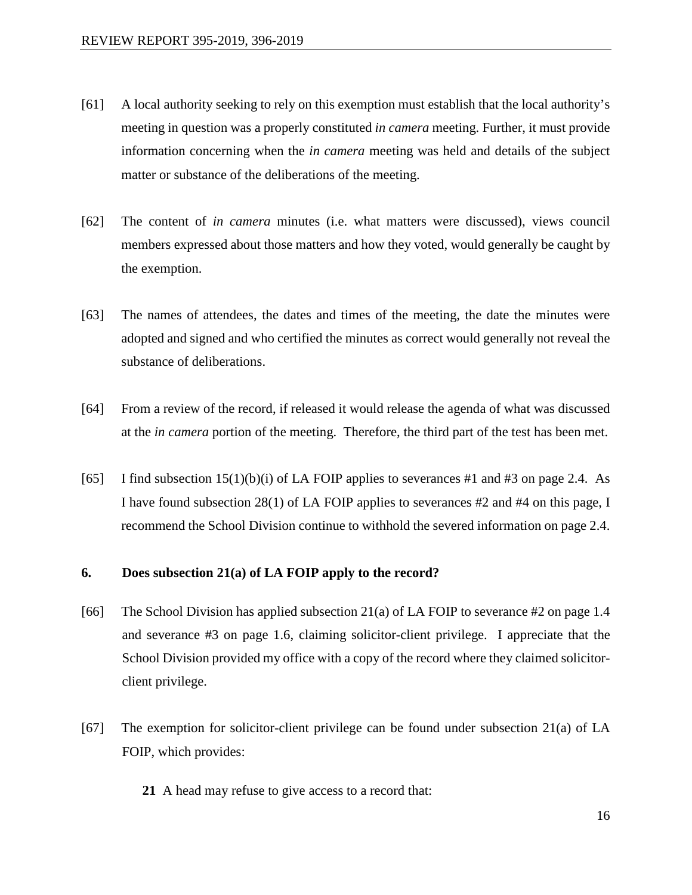- [61] A local authority seeking to rely on this exemption must establish that the local authority's meeting in question was a properly constituted *in camera* meeting. Further, it must provide information concerning when the *in camera* meeting was held and details of the subject matter or substance of the deliberations of the meeting.
- [62] The content of *in camera* minutes (i.e. what matters were discussed), views council members expressed about those matters and how they voted, would generally be caught by the exemption.
- [63] The names of attendees, the dates and times of the meeting, the date the minutes were adopted and signed and who certified the minutes as correct would generally not reveal the substance of deliberations.
- [64] From a review of the record, if released it would release the agenda of what was discussed at the *in camera* portion of the meeting. Therefore, the third part of the test has been met.
- [65] I find subsection  $15(1)(b)(i)$  of LA FOIP applies to severances #1 and #3 on page 2.4. As I have found subsection 28(1) of LA FOIP applies to severances #2 and #4 on this page, I recommend the School Division continue to withhold the severed information on page 2.4.

## **6. Does subsection 21(a) of LA FOIP apply to the record?**

- [66] The School Division has applied subsection 21(a) of LA FOIP to severance #2 on page 1.4 and severance #3 on page 1.6, claiming solicitor-client privilege. I appreciate that the School Division provided my office with a copy of the record where they claimed solicitorclient privilege.
- [67] The exemption for solicitor-client privilege can be found under subsection 21(a) of LA FOIP, which provides:
	- **21** A head may refuse to give access to a record that: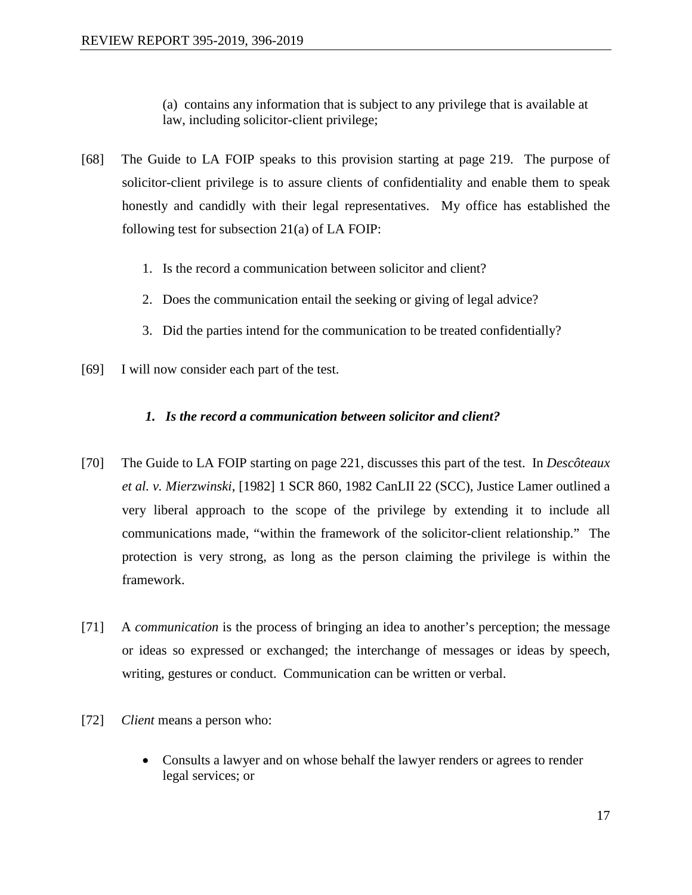(a) contains any information that is subject to any privilege that is available at law, including solicitor-client privilege;

- [68] The Guide to LA FOIP speaks to this provision starting at page 219. The purpose of solicitor-client privilege is to assure clients of confidentiality and enable them to speak honestly and candidly with their legal representatives. My office has established the following test for subsection 21(a) of LA FOIP:
	- 1. Is the record a communication between solicitor and client?
	- 2. Does the communication entail the seeking or giving of legal advice?
	- 3. Did the parties intend for the communication to be treated confidentially?
- [69] I will now consider each part of the test.

# *1. Is the record a communication between solicitor and client?*

- [70] The Guide to LA FOIP starting on page 221, discusses this part of the test. In *Descôteaux et al. v. Mierzwinski*, [1982] 1 SCR 860, 1982 CanLII 22 (SCC), Justice Lamer outlined a very liberal approach to the scope of the privilege by extending it to include all communications made, "within the framework of the solicitor-client relationship." The protection is very strong, as long as the person claiming the privilege is within the framework.
- [71] A *communication* is the process of bringing an idea to another's perception; the message or ideas so expressed or exchanged; the interchange of messages or ideas by speech, writing, gestures or conduct. Communication can be written or verbal.
- [72] *Client* means a person who:
	- Consults a lawyer and on whose behalf the lawyer renders or agrees to render legal services; or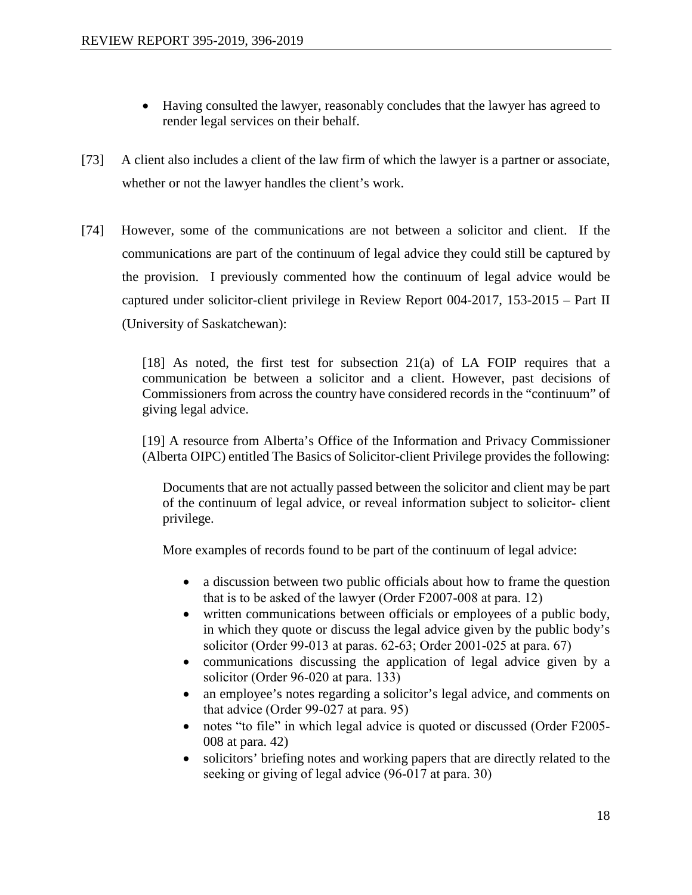- Having consulted the lawyer, reasonably concludes that the lawyer has agreed to render legal services on their behalf.
- [73] A client also includes a client of the law firm of which the lawyer is a partner or associate, whether or not the lawyer handles the client's work.
- [74] However, some of the communications are not between a solicitor and client. If the communications are part of the continuum of legal advice they could still be captured by the provision. I previously commented how the continuum of legal advice would be captured under solicitor-client privilege in Review Report 004-2017, 153-2015 – Part II (University of Saskatchewan):

[18] As noted, the first test for subsection  $21(a)$  of LA FOIP requires that a communication be between a solicitor and a client. However, past decisions of Commissioners from across the country have considered records in the "continuum" of giving legal advice.

[19] A resource from Alberta's Office of the Information and Privacy Commissioner (Alberta OIPC) entitled The Basics of Solicitor-client Privilege provides the following:

Documents that are not actually passed between the solicitor and client may be part of the continuum of legal advice, or reveal information subject to solicitor‐ client privilege.

More examples of records found to be part of the continuum of legal advice:

- a discussion between two public officials about how to frame the question that is to be asked of the lawyer (Order F2007‐008 at para. 12)
- written communications between officials or employees of a public body, in which they quote or discuss the legal advice given by the public body's solicitor (Order 99‐013 at paras. 62‐63; Order 2001‐025 at para. 67)
- communications discussing the application of legal advice given by a solicitor (Order 96‐020 at para. 133)
- an employee's notes regarding a solicitor's legal advice, and comments on that advice (Order 99‐027 at para. 95)
- notes "to file" in which legal advice is quoted or discussed (Order F2005– 008 at para. 42)
- solicitors' briefing notes and working papers that are directly related to the seeking or giving of legal advice (96‐017 at para. 30)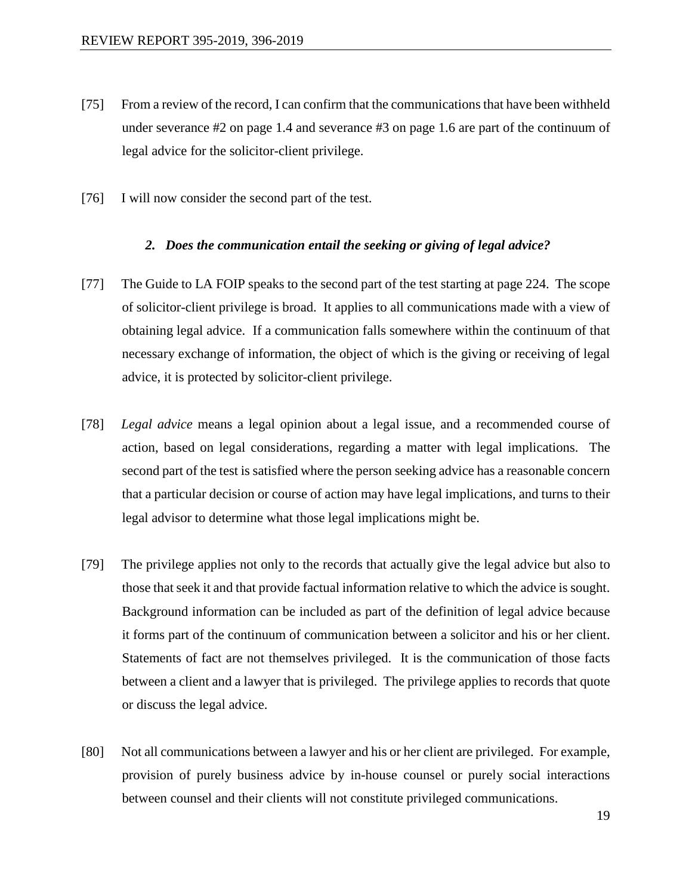- [75] From a review of the record, I can confirm that the communications that have been withheld under severance #2 on page 1.4 and severance #3 on page 1.6 are part of the continuum of legal advice for the solicitor-client privilege.
- [76] I will now consider the second part of the test.

#### *2. Does the communication entail the seeking or giving of legal advice?*

- [77] The Guide to LA FOIP speaks to the second part of the test starting at page 224. The scope of solicitor-client privilege is broad. It applies to all communications made with a view of obtaining legal advice. If a communication falls somewhere within the continuum of that necessary exchange of information, the object of which is the giving or receiving of legal advice, it is protected by solicitor-client privilege.
- [78] *Legal advice* means a legal opinion about a legal issue, and a recommended course of action, based on legal considerations, regarding a matter with legal implications. The second part of the test is satisfied where the person seeking advice has a reasonable concern that a particular decision or course of action may have legal implications, and turns to their legal advisor to determine what those legal implications might be.
- [79] The privilege applies not only to the records that actually give the legal advice but also to those that seek it and that provide factual information relative to which the advice is sought. Background information can be included as part of the definition of legal advice because it forms part of the continuum of communication between a solicitor and his or her client. Statements of fact are not themselves privileged. It is the communication of those facts between a client and a lawyer that is privileged. The privilege applies to records that quote or discuss the legal advice.
- [80] Not all communications between a lawyer and his or her client are privileged. For example, provision of purely business advice by in-house counsel or purely social interactions between counsel and their clients will not constitute privileged communications.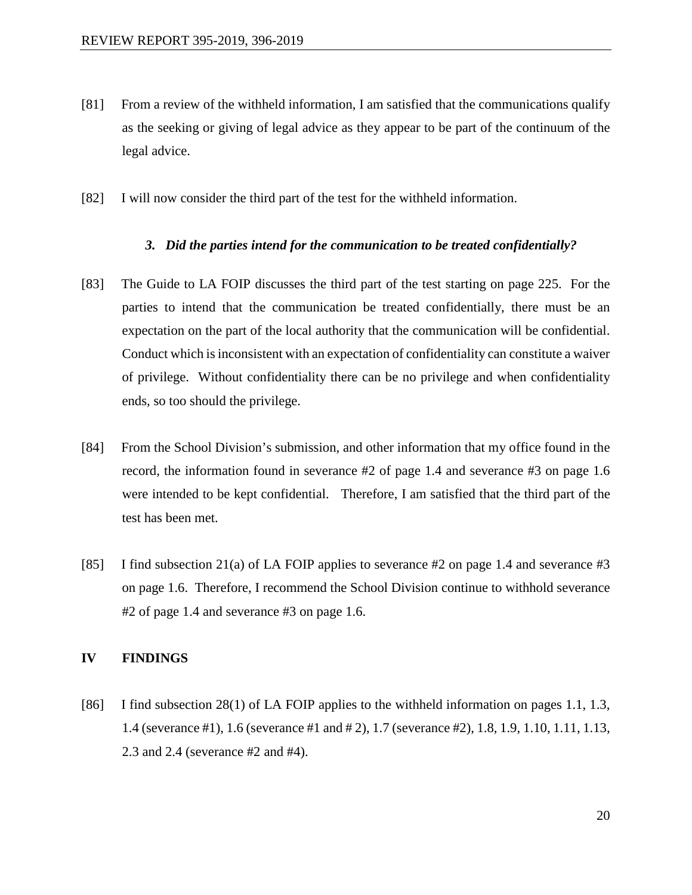- [81] From a review of the withheld information, I am satisfied that the communications qualify as the seeking or giving of legal advice as they appear to be part of the continuum of the legal advice.
- [82] I will now consider the third part of the test for the withheld information.

#### *3. Did the parties intend for the communication to be treated confidentially?*

- [83] The Guide to LA FOIP discusses the third part of the test starting on page 225. For the parties to intend that the communication be treated confidentially, there must be an expectation on the part of the local authority that the communication will be confidential. Conduct which is inconsistent with an expectation of confidentiality can constitute a waiver of privilege. Without confidentiality there can be no privilege and when confidentiality ends, so too should the privilege.
- [84] From the School Division's submission, and other information that my office found in the record, the information found in severance #2 of page 1.4 and severance #3 on page 1.6 were intended to be kept confidential. Therefore, I am satisfied that the third part of the test has been met.
- [85] I find subsection 21(a) of LA FOIP applies to severance #2 on page 1.4 and severance #3 on page 1.6. Therefore, I recommend the School Division continue to withhold severance #2 of page 1.4 and severance #3 on page 1.6.

#### **IV FINDINGS**

[86] I find subsection 28(1) of LA FOIP applies to the withheld information on pages 1.1, 1.3, 1.4 (severance #1), 1.6 (severance #1 and # 2), 1.7 (severance #2), 1.8, 1.9, 1.10, 1.11, 1.13, 2.3 and 2.4 (severance #2 and #4).